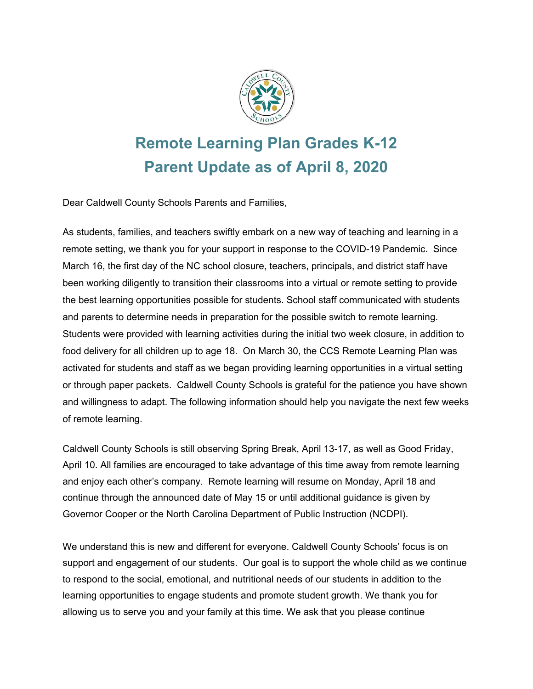

# **Remote Learning Plan Grades K-12 Parent Update as of April 8, 2020**

Dear Caldwell County Schools Parents and Families,

As students, families, and teachers swiftly embark on a new way of teaching and learning in a remote setting, we thank you for your support in response to the COVID-19 Pandemic. Since March 16, the first day of the NC school closure, teachers, principals, and district staff have been working diligently to transition their classrooms into a virtual or remote setting to provide the best learning opportunities possible for students. School staff communicated with students and parents to determine needs in preparation for the possible switch to remote learning. Students were provided with learning activities during the initial two week closure, in addition to food delivery for all children up to age 18. On March 30, the CCS Remote Learning Plan was activated for students and staff as we began providing learning opportunities in a virtual setting or through paper packets. Caldwell County Schools is grateful for the patience you have shown and willingness to adapt. The following information should help you navigate the next few weeks of remote learning.

Caldwell County Schools is still observing Spring Break, April 13-17, as well as Good Friday, April 10. All families are encouraged to take advantage of this time away from remote learning and enjoy each other's company. Remote learning will resume on Monday, April 18 and continue through the announced date of May 15 or until additional guidance is given by Governor Cooper or the North Carolina Department of Public Instruction (NCDPI).

We understand this is new and different for everyone. Caldwell County Schools' focus is on support and engagement of our students. Our goal is to support the whole child as we continue to respond to the social, emotional, and nutritional needs of our students in addition to the learning opportunities to engage students and promote student growth. We thank you for allowing us to serve you and your family at this time. We ask that you please continue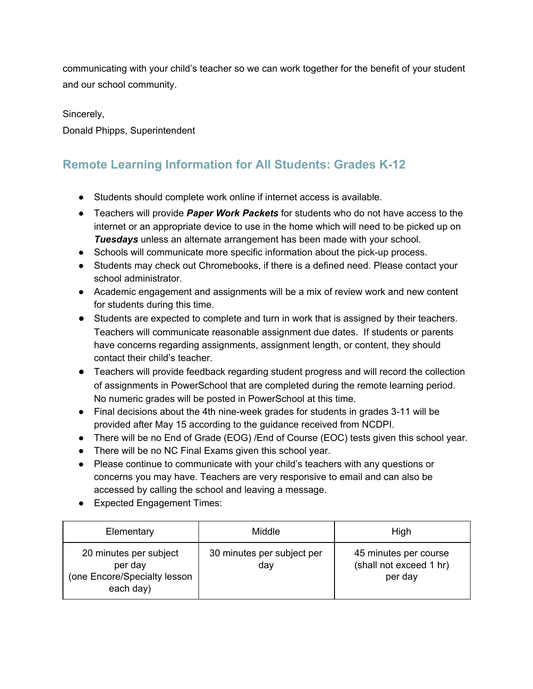communicating with your child's teacher so we can work together for the benefit of your student and our school community.

Sincerely, Donald Phipps, Superintendent

# **Remote Learning Information for All Students: Grades K-12**

- Students should complete work online if internet access is available.
- Teachers will provide *Paper Work Packets* for students who do not have access to the internet or an appropriate device to use in the home which will need to be picked up on *Tuesdays* unless an alternate arrangement has been made with your school.
- **●** Schools will communicate more specific information about the pick-up process.
- **●** Students may check out Chromebooks, if there is a defined need. Please contact your school administrator.
- Academic engagement and assignments will be a mix of review work and new content for students during this time.
- Students are expected to complete and turn in work that is assigned by their teachers. Teachers will communicate reasonable assignment due dates. If students or parents have concerns regarding assignments, assignment length, or content, they should contact their child's teacher.
- Teachers will provide feedback regarding student progress and will record the collection of assignments in PowerSchool that are completed during the remote learning period. No numeric grades will be posted in PowerSchool at this time.
- Final decisions about the 4th nine-week grades for students in grades 3-11 will be provided after May 15 according to the guidance received from NCDPI.
- There will be no End of Grade (EOG) /End of Course (EOC) tests given this school year.
- There will be no NC Final Exams given this school year.
- Please continue to communicate with your child's teachers with any questions or concerns you may have. Teachers are very responsive to email and can also be accessed by calling the school and leaving a message.
- Expected Engagement Times:

| Elementary                                                                     | Middle                            | High                                                        |
|--------------------------------------------------------------------------------|-----------------------------------|-------------------------------------------------------------|
| 20 minutes per subject<br>per day<br>(one Encore/Specialty lesson<br>each day) | 30 minutes per subject per<br>day | 45 minutes per course<br>(shall not exceed 1 hr)<br>per day |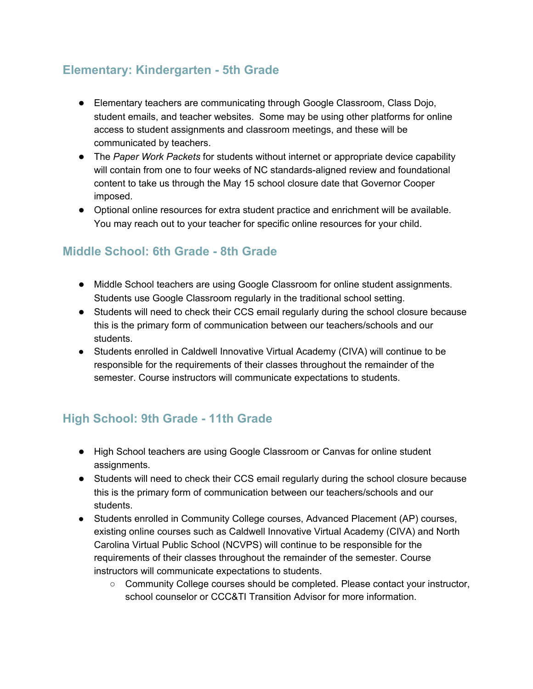## **Elementary: Kindergarten - 5th Grade**

- Elementary teachers are communicating through Google Classroom, Class Dojo, student emails, and teacher websites. Some may be using other platforms for online access to student assignments and classroom meetings, and these will be communicated by teachers.
- The *Paper Work Packets* for students without internet or appropriate device capability will contain from one to four weeks of NC standards-aligned review and foundational content to take us through the May 15 school closure date that Governor Cooper imposed.
- Optional online resources for extra student practice and enrichment will be available. You may reach out to your teacher for specific online resources for your child.

#### **Middle School: 6th Grade - 8th Grade**

- Middle School teachers are using Google Classroom for online student assignments. Students use Google Classroom regularly in the traditional school setting.
- Students will need to check their CCS email regularly during the school closure because this is the primary form of communication between our teachers/schools and our students.
- Students enrolled in Caldwell Innovative Virtual Academy (CIVA) will continue to be responsible for the requirements of their classes throughout the remainder of the semester. Course instructors will communicate expectations to students.

#### **High School: 9th Grade - 11th Grade**

- High School teachers are using Google Classroom or Canvas for online student assignments.
- Students will need to check their CCS email regularly during the school closure because this is the primary form of communication between our teachers/schools and our students.
- Students enrolled in Community College courses, Advanced Placement (AP) courses, existing online courses such as Caldwell Innovative Virtual Academy (CIVA) and North Carolina Virtual Public School (NCVPS) will continue to be responsible for the requirements of their classes throughout the remainder of the semester. Course instructors will communicate expectations to students.
	- Community College courses should be completed. Please contact your instructor, school counselor or CCC&TI Transition Advisor for more information.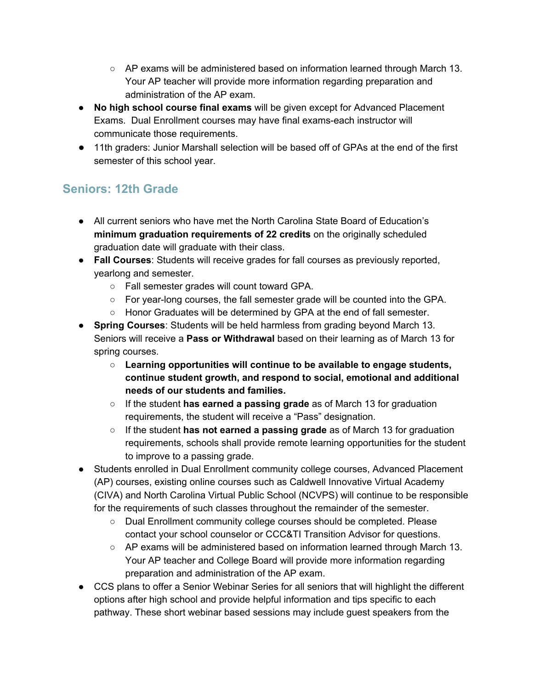- AP exams will be administered based on information learned through March 13. Your AP teacher will provide more information regarding preparation and administration of the AP exam.
- **● No high school course final exams** will be given except for Advanced Placement Exams. Dual Enrollment courses may have final exams-each instructor will communicate those requirements.
- 11th graders: Junior Marshall selection will be based off of GPAs at the end of the first semester of this school year.

## **Seniors: 12th Grade**

- All current seniors who have met the North Carolina State Board of Education's **minimum graduation requirements of 22 credits** on the originally scheduled graduation date will graduate with their class.
- **Fall Courses**: Students will receive grades for fall courses as previously reported, yearlong and semester.
	- Fall semester grades will count toward GPA.
	- For year-long courses, the fall semester grade will be counted into the GPA.
	- Honor Graduates will be determined by GPA at the end of fall semester.
- **Spring Courses**: Students will be held harmless from grading beyond March 13. Seniors will receive a **Pass or Withdrawal** based on their learning as of March 13 for spring courses.
	- **○ Learning opportunities will continue to be available to engage students, continue student growth, and respond to social, emotional and additional needs of our students and families.**
	- If the student **has earned a passing grade** as of March 13 for graduation requirements, the student will receive a "Pass" designation.
	- If the student **has not earned a passing grade** as of March 13 for graduation requirements, schools shall provide remote learning opportunities for the student to improve to a passing grade.
- Students enrolled in Dual Enrollment community college courses, Advanced Placement (AP) courses, existing online courses such as Caldwell Innovative Virtual Academy (CIVA) and North Carolina Virtual Public School (NCVPS) will continue to be responsible for the requirements of such classes throughout the remainder of the semester.
	- Dual Enrollment community college courses should be completed. Please contact your school counselor or CCC&TI Transition Advisor for questions.
	- AP exams will be administered based on information learned through March 13. Your AP teacher and College Board will provide more information regarding preparation and administration of the AP exam.
- CCS plans to offer a Senior Webinar Series for all seniors that will highlight the different options after high school and provide helpful information and tips specific to each pathway. These short webinar based sessions may include guest speakers from the